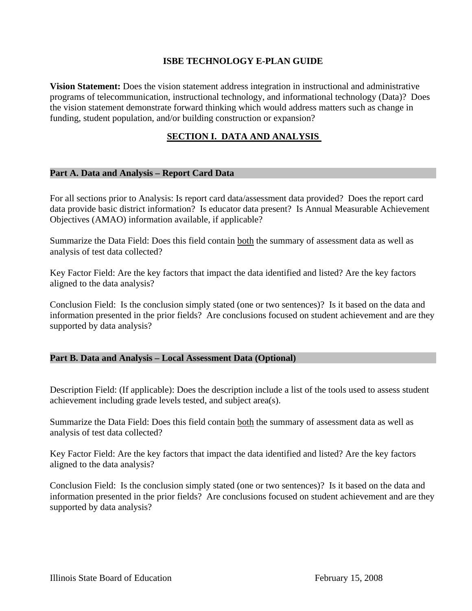# **ISBE TECHNOLOGY E-PLAN GUIDE**

**Vision Statement:** Does the vision statement address integration in instructional and administrative programs of telecommunication, instructional technology, and informational technology (Data)? Does the vision statement demonstrate forward thinking which would address matters such as change in funding, student population, and/or building construction or expansion?

### **SECTION I. DATA AND ANALYSIS**

#### **Part A. Data and Analysis – Report Card Data**

For all sections prior to Analysis: Is report card data/assessment data provided? Does the report card data provide basic district information? Is educator data present? Is Annual Measurable Achievement Objectives (AMAO) information available, if applicable?

Summarize the Data Field: Does this field contain both the summary of assessment data as well as analysis of test data collected?

Key Factor Field: Are the key factors that impact the data identified and listed? Are the key factors aligned to the data analysis?

Conclusion Field: Is the conclusion simply stated (one or two sentences)? Is it based on the data and information presented in the prior fields? Are conclusions focused on student achievement and are they supported by data analysis?

#### **Part B. Data and Analysis – Local Assessment Data (Optional)**

Description Field: (If applicable): Does the description include a list of the tools used to assess student achievement including grade levels tested, and subject area(s).

Summarize the Data Field: Does this field contain both the summary of assessment data as well as analysis of test data collected?

Key Factor Field: Are the key factors that impact the data identified and listed? Are the key factors aligned to the data analysis?

Conclusion Field: Is the conclusion simply stated (one or two sentences)? Is it based on the data and information presented in the prior fields? Are conclusions focused on student achievement and are they supported by data analysis?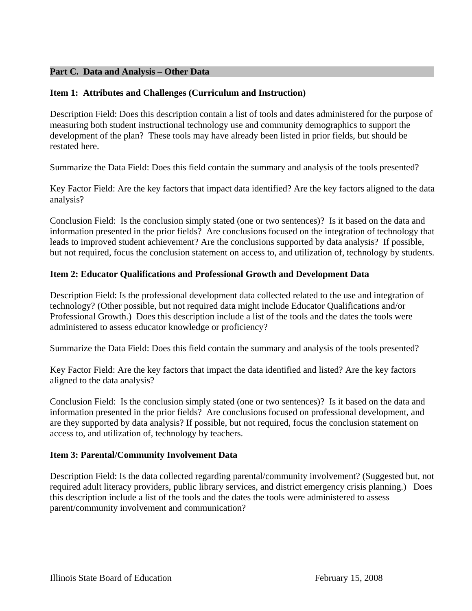# **Part C. Data and Analysis – Other Data**

# **Item 1: Attributes and Challenges (Curriculum and Instruction)**

Description Field: Does this description contain a list of tools and dates administered for the purpose of measuring both student instructional technology use and community demographics to support the development of the plan? These tools may have already been listed in prior fields, but should be restated here.

Summarize the Data Field: Does this field contain the summary and analysis of the tools presented?

Key Factor Field: Are the key factors that impact data identified? Are the key factors aligned to the data analysis?

Conclusion Field: Is the conclusion simply stated (one or two sentences)? Is it based on the data and information presented in the prior fields? Are conclusions focused on the integration of technology that leads to improved student achievement? Are the conclusions supported by data analysis? If possible, but not required, focus the conclusion statement on access to, and utilization of, technology by students.

# **Item 2: Educator Qualifications and Professional Growth and Development Data**

Description Field: Is the professional development data collected related to the use and integration of technology? (Other possible, but not required data might include Educator Qualifications and/or Professional Growth.) Does this description include a list of the tools and the dates the tools were administered to assess educator knowledge or proficiency?

Summarize the Data Field: Does this field contain the summary and analysis of the tools presented?

Key Factor Field: Are the key factors that impact the data identified and listed? Are the key factors aligned to the data analysis?

Conclusion Field: Is the conclusion simply stated (one or two sentences)? Is it based on the data and information presented in the prior fields? Are conclusions focused on professional development, and are they supported by data analysis? If possible, but not required, focus the conclusion statement on access to, and utilization of, technology by teachers.

# **Item 3: Parental/Community Involvement Data**

Description Field: Is the data collected regarding parental/community involvement? (Suggested but, not required adult literacy providers, public library services, and district emergency crisis planning.) Does this description include a list of the tools and the dates the tools were administered to assess parent/community involvement and communication?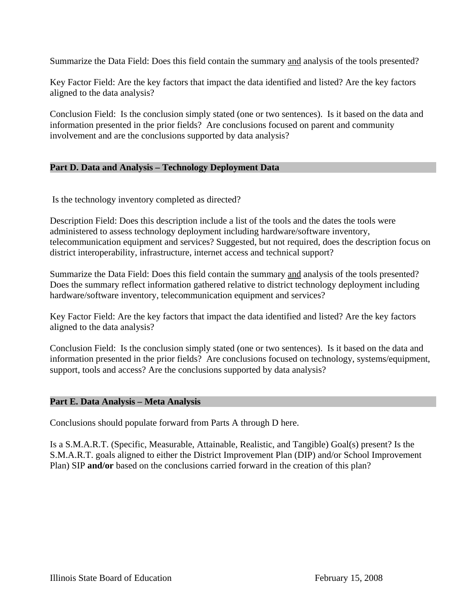Summarize the Data Field: Does this field contain the summary and analysis of the tools presented?

Key Factor Field: Are the key factors that impact the data identified and listed? Are the key factors aligned to the data analysis?

Conclusion Field: Is the conclusion simply stated (one or two sentences). Is it based on the data and information presented in the prior fields? Are conclusions focused on parent and community involvement and are the conclusions supported by data analysis?

#### **Part D. Data and Analysis – Technology Deployment Data**

Is the technology inventory completed as directed?

Description Field: Does this description include a list of the tools and the dates the tools were administered to assess technology deployment including hardware/software inventory, telecommunication equipment and services? Suggested, but not required, does the description focus on district interoperability, infrastructure, internet access and technical support?

Summarize the Data Field: Does this field contain the summary and analysis of the tools presented? Does the summary reflect information gathered relative to district technology deployment including hardware/software inventory, telecommunication equipment and services?

Key Factor Field: Are the key factors that impact the data identified and listed? Are the key factors aligned to the data analysis?

Conclusion Field: Is the conclusion simply stated (one or two sentences). Is it based on the data and information presented in the prior fields? Are conclusions focused on technology, systems/equipment, support, tools and access? Are the conclusions supported by data analysis?

#### **Part E. Data Analysis – Meta Analysis**

Conclusions should populate forward from Parts A through D here.

Is a S.M.A.R.T. (Specific, Measurable, Attainable, Realistic, and Tangible) Goal(s) present? Is the S.M.A.R.T. goals aligned to either the District Improvement Plan (DIP) and/or School Improvement Plan) SIP **and/or** based on the conclusions carried forward in the creation of this plan?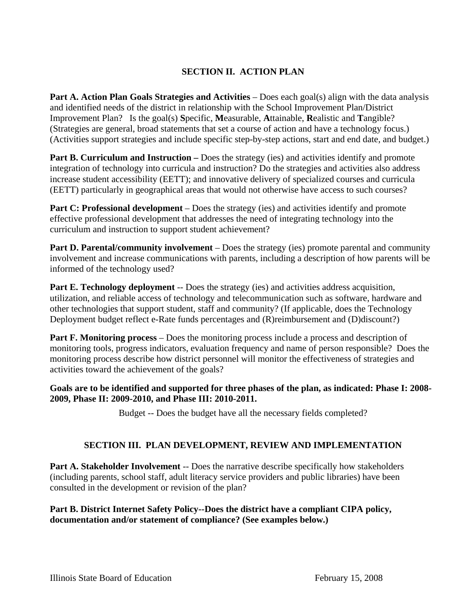# **SECTION II. ACTION PLAN**

**Part A. Action Plan Goals Strategies and Activities** – Does each goal(s) align with the data analysis and identified needs of the district in relationship with the School Improvement Plan/District Improvement Plan? Is the goal(s) **S**pecific, **M**easurable, **A**ttainable, **R**ealistic and **T**angible? (Strategies are general, broad statements that set a course of action and have a technology focus.) (Activities support strategies and include specific step-by-step actions, start and end date, and budget.)

**Part B. Curriculum and Instruction –** Does the strategy (ies) and activities identify and promote integration of technology into curricula and instruction? Do the strategies and activities also address increase student accessibility (EETT); and innovative delivery of specialized courses and curricula (EETT) particularly in geographical areas that would not otherwise have access to such courses?

**Part C: Professional development** – Does the strategy (ies) and activities identify and promote effective professional development that addresses the need of integrating technology into the curriculum and instruction to support student achievement?

**Part D. Parental/community involvement** – Does the strategy (ies) promote parental and community involvement and increase communications with parents, including a description of how parents will be informed of the technology used?

**Part E. Technology deployment** -- Does the strategy (ies) and activities address acquisition, utilization, and reliable access of technology and telecommunication such as software, hardware and other technologies that support student, staff and community? (If applicable, does the Technology Deployment budget reflect e-Rate funds percentages and (R)reimbursement and (D)discount?)

**Part F. Monitoring process** – Does the monitoring process include a process and description of monitoring tools, progress indicators, evaluation frequency and name of person responsible? Does the monitoring process describe how district personnel will monitor the effectiveness of strategies and activities toward the achievement of the goals?

#### **Goals are to be identified and supported for three phases of the plan, as indicated: Phase I: 2008- 2009, Phase II: 2009-2010, and Phase III: 2010-2011.**

Budget -- Does the budget have all the necessary fields completed?

# **SECTION III. PLAN DEVELOPMENT, REVIEW AND IMPLEMENTATION**

Part A. Stakeholder Involvement -- Does the narrative describe specifically how stakeholders (including parents, school staff, adult literacy service providers and public libraries) have been consulted in the development or revision of the plan?

#### **Part B. District Internet Safety Policy--Does the district have a compliant CIPA policy, documentation and/or statement of compliance? (See examples below.)**